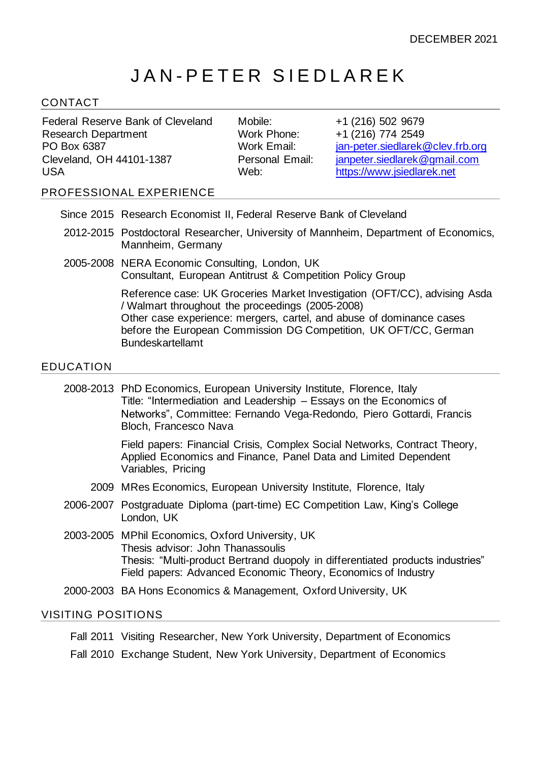# JAN-PETER SIEDLAREK

## CONTACT

Federal Reserve Bank of Cleveland Research Department PO Box 6387 Cleveland, OH 44101-1387 USA

Mobile: +1 (216) 502 9679 Work Phone: +1 (216) 774 2549 Work Email: [jan-peter.siedlarek@clev.frb.org](mailto:jan-peter.siedlarek@clev.frb.org) Personal Email: [janpeter.siedlarek@gmail.com](mailto:janpeter.siedlarek@gmail.com) Web: [https://www.jsiedlarek.net](https://www.jsiedlarek.net/)

#### PROFESSIONAL EXPERIENCE

- Since 2015 Research Economist II, Federal Reserve Bank of Cleveland
- 2012-2015 Postdoctoral Researcher, University of Mannheim, Department of Economics, Mannheim, Germany
- 2005-2008 NERA Economic Consulting, London, UK Consultant, European Antitrust & Competition Policy Group

Reference case: UK Groceries Market Investigation (OFT/CC), advising Asda / Walmart throughout the proceedings (2005-2008) Other case experience: mergers, cartel, and abuse of dominance cases before the European Commission DG Competition, UK OFT/CC, German Bundeskartellamt

#### EDUCATION

2008-2013 PhD Economics, European University Institute, Florence, Italy Title: "Intermediation and Leadership – Essays on the Economics of Networks", Committee: Fernando Vega-Redondo, Piero Gottardi, Francis Bloch, Francesco Nava

> Field papers: Financial Crisis, Complex Social Networks, Contract Theory, Applied Economics and Finance, Panel Data and Limited Dependent Variables, Pricing

- 2009 MRes Economics, European University Institute, Florence, Italy
- 2006-2007 Postgraduate Diploma (part-time) EC Competition Law, King's College London, UK
- 2003-2005 MPhil Economics, Oxford University, UK Thesis advisor: John Thanassoulis Thesis: "Multi-product Bertrand duopoly in differentiated products industries" Field papers: Advanced Economic Theory, Economics of Industry
- 2000-2003 BA Hons Economics & Management, Oxford University, UK

#### VISITING POSITIONS

Fall 2011 Visiting Researcher, New York University, Department of Economics

Fall 2010 Exchange Student, New York University, Department of Economics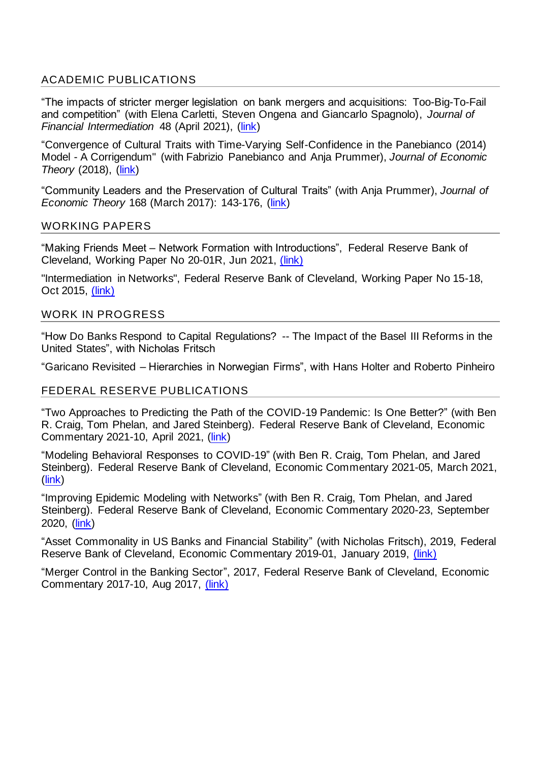# ACADEMIC PUBLICATIONS

"The impacts of stricter merger legislation on bank mergers and acquisitions: Too-Big-To-Fail and competition" (with Elena Carletti, Steven Ongena and Giancarlo Spagnolo), *Journal of Financial Intermediation* 48 (April 2021), [\(link\)](https://doi.rog/10.1016/j.jfi.2020.100859)

"Convergence of Cultural Traits with Time-Varying Self-Confidence in the Panebianco (2014) Model - A Corrigendum" (with Fabrizio Panebianco and Anja Prummer), *Journal of Economic Theory* (2018), [\(link\)](https://doi.org/10.1016/j.jet.2018.01.009)

"Community Leaders and the Preservation of Cultural Traits" (with Anja Prummer), *Journal of Economic Theory* 168 (March 2017): 143-176, [\(link\)](https://doi.org/10.1016/j.jet.2016.12.007)

#### WORKING PAPERS

"Making Friends Meet – Network Formation with Introductions", Federal Reserve Bank of Cleveland, Working Paper No 20-01R, Jun 2021, [\(link\)](https://doi.org/10.26509/frbc-wp-202001r)

"Intermediation in Networks", Federal Reserve Bank of Cleveland, Working Paper No 15-18, Oct 2015, [\(link\)](https://www.clevelandfed.org/newsroom-and-events/publications/working-papers/2015-working-papers/wp-1518-intermediation-in-networks)

#### WORK IN PROGRESS

"How Do Banks Respond to Capital Regulations? -- The Impact of the Basel III Reforms in the United States", with Nicholas Fritsch

"Garicano Revisited – Hierarchies in Norwegian Firms", with Hans Holter and Roberto Pinheiro

## FEDERAL RESERVE PUBLICATIONS

"Two Approaches to Predicting the Path of the COVID-19 Pandemic: Is One Better?" (with Ben R. Craig, Tom Phelan, and Jared Steinberg). Federal Reserve Bank of Cleveland, Economic Commentary 2021-10, April 2021, [\(link\)](https://doi.org/10.26509/frbc-ec-202110)

"Modeling Behavioral Responses to COVID-19" (with Ben R. Craig, Tom Phelan, and Jared Steinberg). Federal Reserve Bank of Cleveland, Economic Commentary 2021-05, March 2021, [\(link\)](https://doi.org/10.26509/frbc-ec-202105)

"Improving Epidemic Modeling with Networks" (with Ben R. Craig, Tom Phelan, and Jared Steinberg). Federal Reserve Bank of Cleveland, Economic Commentary 2020-23, September 2020, [\(link\)](https://doi.org/10.26509/frbc-ec-202023)

"Asset Commonality in US Banks and Financial Stability" (with Nicholas Fritsch), 2019, Federal Reserve Bank of Cleveland, Economic Commentary 2019-01, January 2019, [\(link\)](https://doi.org/10.26509/frbc-ec-201901)

"Merger Control in the Banking Sector", 2017, Federal Reserve Bank of Cleveland, Economic Commentary 2017-10, Aug 2017, [\(link\)](https://www.clevelandfed.org/newsroom-and-events/publications/economic-commentary/2017-economic-commentaries/ec-201710-merger-control-in-the-banking-sector)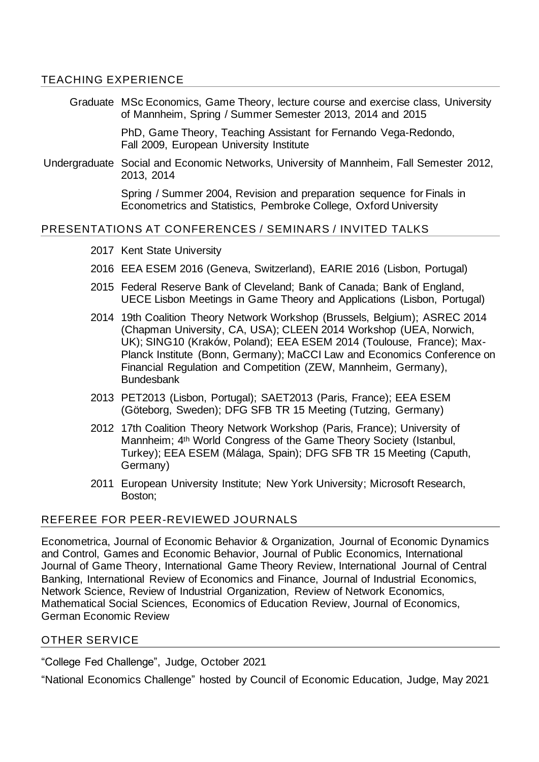## TEACHING EXPERIENCE

Graduate MSc Economics, Game Theory, lecture course and exercise class, University of Mannheim, Spring / Summer Semester 2013, 2014 and 2015

> PhD, Game Theory, Teaching Assistant for Fernando Vega-Redondo, Fall 2009, European University Institute

Undergraduate Social and Economic Networks, University of Mannheim, Fall Semester 2012, 2013, 2014

> Spring / Summer 2004, Revision and preparation sequence for Finals in Econometrics and Statistics, Pembroke College, Oxford University

## PRESENTATIONS AT CONFERENCES / SEMINARS / INVITED TALKS

- 2017 Kent State University
- 2016 EEA ESEM 2016 (Geneva, Switzerland), EARIE 2016 (Lisbon, Portugal)
- 2015 Federal Reserve Bank of Cleveland; Bank of Canada; Bank of England, UECE Lisbon Meetings in Game Theory and Applications (Lisbon, Portugal)
- 2014 19th Coalition Theory Network Workshop (Brussels, Belgium); ASREC 2014 (Chapman University, CA, USA); CLEEN 2014 Workshop (UEA, Norwich, UK); SING10 (Kraków, Poland); EEA ESEM 2014 (Toulouse, France); Max-Planck Institute (Bonn, Germany); MaCCI Law and Economics Conference on Financial Regulation and Competition (ZEW, Mannheim, Germany), Bundesbank
- 2013 PET2013 (Lisbon, Portugal); SAET2013 (Paris, France); EEA ESEM (Göteborg, Sweden); DFG SFB TR 15 Meeting (Tutzing, Germany)
- 2012 17th Coalition Theory Network Workshop (Paris, France); University of Mannheim; 4th World Congress of the Game Theory Society (Istanbul, Turkey); EEA ESEM (Málaga, Spain); DFG SFB TR 15 Meeting (Caputh, Germany)
- 2011 European University Institute; New York University; Microsoft Research, Boston;

## REFEREE FOR PEER-REVIEWED JOURNALS

Econometrica, Journal of Economic Behavior & Organization, Journal of Economic Dynamics and Control, Games and Economic Behavior, Journal of Public Economics, International Journal of Game Theory, International Game Theory Review, International Journal of Central Banking, International Review of Economics and Finance, Journal of Industrial Economics, Network Science, Review of Industrial Organization, Review of Network Economics, Mathematical Social Sciences, Economics of Education Review, Journal of Economics, German Economic Review

## OTHER SERVICE

"College Fed Challenge", Judge, October 2021

"National Economics Challenge" hosted by Council of Economic Education, Judge, May 2021